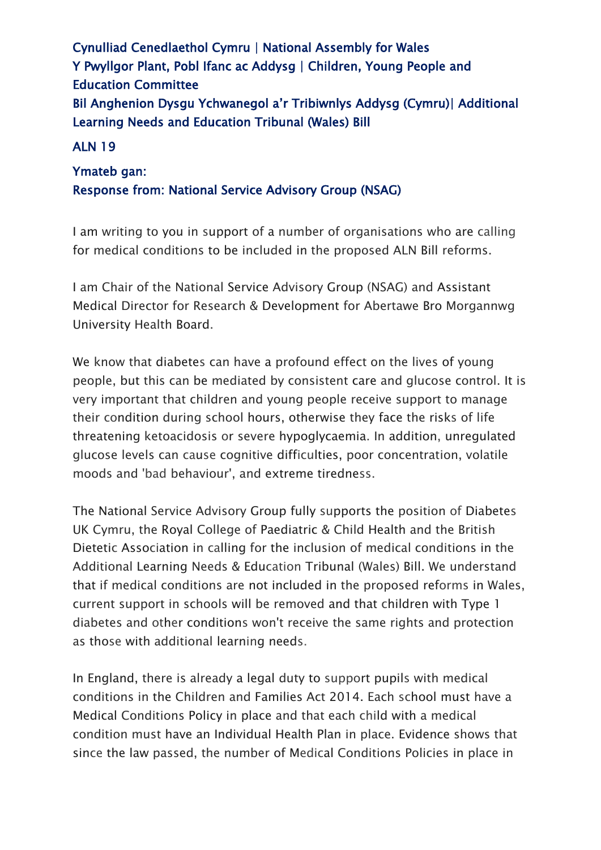Cynulliad Cenedlaethol Cymru | National Assembly for Wales Y Pwyllgor Plant, Pobl Ifanc ac Addysg | Children, Young People and Education Committee Bil Anghenion Dysgu Ychwanegol a'r Tribiwnlys Addysg (Cymru)| Additional Learning Needs and Education Tribunal (Wales) Bill

## ALN 19

## Ymateb gan: Response from: National Service Advisory Group (NSAG)

I am writing to you in support of a number of organisations who are calling for medical conditions to be included in the proposed ALN Bill reforms.

I am Chair of the National Service Advisory Group (NSAG) and Assistant Medical Director for Research & Development for Abertawe Bro Morgannwg University Health Board.

We know that diabetes can have a profound effect on the lives of young people, but this can be mediated by consistent care and glucose control. It is very important that children and young people receive support to manage their condition during school hours, otherwise they face the risks of life threatening ketoacidosis or severe hypoglycaemia. In addition, unregulated glucose levels can cause cognitive difficulties, poor concentration, volatile moods and 'bad behaviour', and extreme tiredness.

The National Service Advisory Group fully supports the position of Diabetes UK Cymru, the Royal College of Paediatric & Child Health and the British Dietetic Association in calling for the inclusion of medical conditions in the Additional Learning Needs & Education Tribunal (Wales) Bill. We understand that if medical conditions are not included in the proposed reforms in Wales, current support in schools will be removed and that children with Type 1 diabetes and other conditions won't receive the same rights and protection as those with additional learning needs.

In England, there is already a legal duty to support pupils with medical conditions in the Children and Families Act 2014. Each school must have a Medical Conditions Policy in place and that each child with a medical condition must have an Individual Health Plan in place. Evidence shows that since the law passed, the number of Medical Conditions Policies in place in